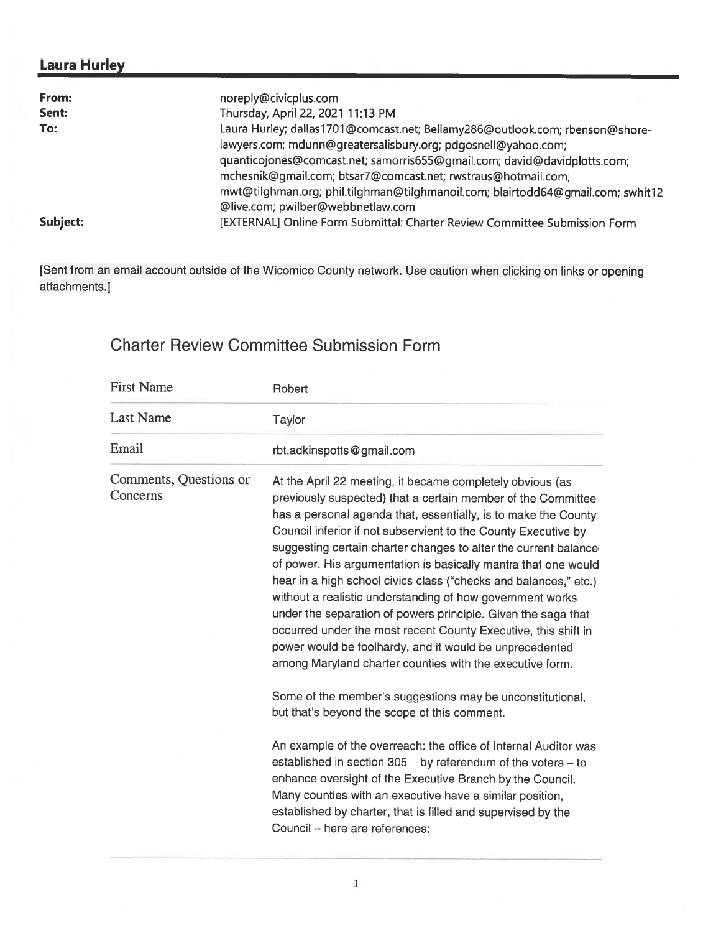## Laura Hurley

| From:    | noreply@civicplus.com                                                           |
|----------|---------------------------------------------------------------------------------|
| Sent:    | Thursday, April 22, 2021 11:13 PM                                               |
| To:      | Laura Hurley; dallas1701@comcast.net; Bellamy286@outlook.com; rbenson@shore-    |
|          | lawyers.com; mdunn@greatersalisbury.org; pdgosnell@yahoo.com;                   |
|          | quanticojones@comcast.net; samorris655@gmail.com; david@davidplotts.com;        |
|          | mchesnik@gmail.com; btsar7@comcast.net; rwstraus@hotmail.com;                   |
|          | mwt@tilghman.org; phil.tilghman@tilghmanoil.com; blairtodd64@qmail.com; swhit12 |
|          | @live.com; pwilber@webbnetlaw.com                                               |
| Subject: | [EXTERNAL] Online Form Submittal: Charter Review Committee Submission Form      |

[Sent from an email account outside of the Wicomico County network. Use caution when clicking on links or opening attachments.]

## Charter Review Committee Submission Form

| <b>First Name</b>                  | Robert                                                                                                                                                                                                                                                                                                                                                                                                                                                                                                                                                                                                                                                                                                                                                                                        |
|------------------------------------|-----------------------------------------------------------------------------------------------------------------------------------------------------------------------------------------------------------------------------------------------------------------------------------------------------------------------------------------------------------------------------------------------------------------------------------------------------------------------------------------------------------------------------------------------------------------------------------------------------------------------------------------------------------------------------------------------------------------------------------------------------------------------------------------------|
| <b>Last Name</b>                   | Taylor                                                                                                                                                                                                                                                                                                                                                                                                                                                                                                                                                                                                                                                                                                                                                                                        |
| Email                              | rbt.adkinspotts@gmail.com                                                                                                                                                                                                                                                                                                                                                                                                                                                                                                                                                                                                                                                                                                                                                                     |
| Comments, Questions or<br>Concerns | At the April 22 meeting, it became completely obvious (as<br>previously suspected) that a certain member of the Committee<br>has a personal agenda that, essentially, is to make the County<br>Council inferior if not subservient to the County Executive by<br>suggesting certain charter changes to alter the current balance<br>of power. His argumentation is basically mantra that one would<br>hear in a high school civics class ("checks and balances," etc.)<br>without a realistic understanding of how government works<br>under the separation of powers principle. Given the saga that<br>occurred under the most recent County Executive, this shift in<br>power would be foolhardy, and it would be unprecedented<br>among Maryland charter counties with the executive form. |
|                                    | Some of the member's suggestions may be unconstitutional,<br>but that's beyond the scope of this comment.                                                                                                                                                                                                                                                                                                                                                                                                                                                                                                                                                                                                                                                                                     |
|                                    | An example of the overreach: the office of Internal Auditor was<br>established in section 305 - by referendum of the voters - to<br>enhance oversight of the Executive Branch by the Council.<br>Many counties with an executive have a similar position,<br>established by charter, that is filled and supervised by the<br>Council - here are references:                                                                                                                                                                                                                                                                                                                                                                                                                                   |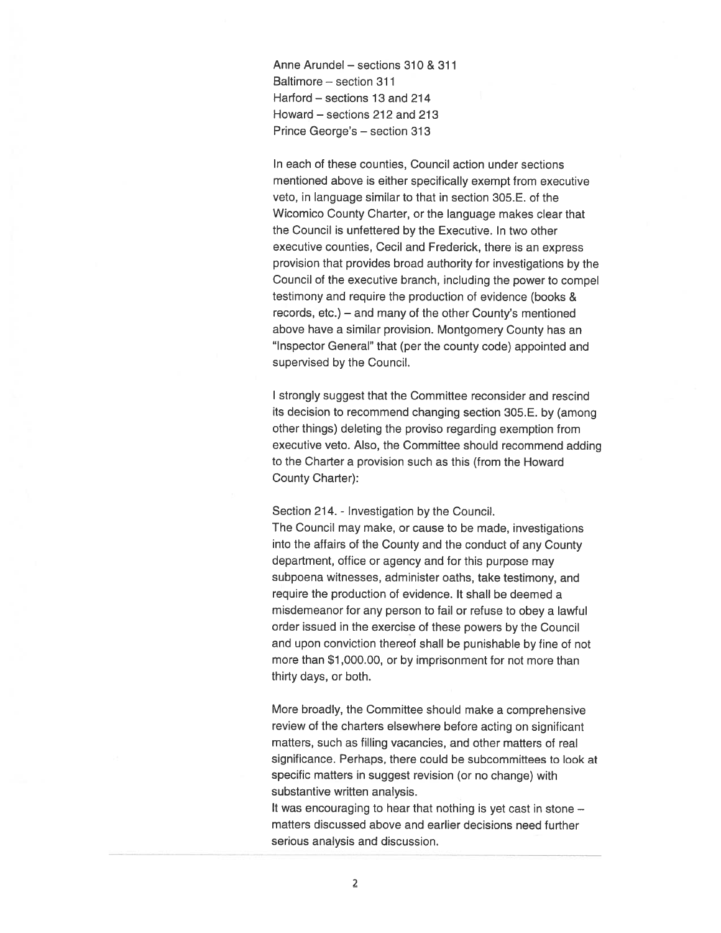Anne Arundel — sections 310 & 311 Baltimore — section 311 Harford — sections 13 and 214 Howard — sections 212 and 213 Prince George's — section 313

In each of these counties, Council action under sections mentioned above is either specifically exemp<sup>t</sup> from executive veto, in language similar to that in section 305.E. of the Wicomico County Charter, or the language makes clear that the Council is unfettered by the Executive. In two other executive counties, Cecil and Frederick, there is an express provision that provides broad authority for investigations by the Council of the executive branch, including the power to compe<sup>l</sup> testimony and require the production of evidence (books & records, etc.) — and many of the other County's mentioned above have <sup>a</sup> similar provision. Montgomery County has an "Inspector General" that (per the county code) appointed and supervised by the Council.

I strongly sugges<sup>t</sup> that the Committee reconsider and rescind its decision to recommend changing section 305.E. by (among other things) deleting the proviso regarding exemption from executive veto. Also, the Committee should recommend adding to the Charter <sup>a</sup> provision such as this (from the Howard County Charter):

Section 214. - Investigation by the Council.

The Council may make, or cause to be made, investigations into the affairs of the County and the conduct of any County department, office or agency and for this purpose may subpoena witnesses, administer oaths, take testimony, and require the production of evidence. It shall be deemed <sup>a</sup> misdemeanor for any person to fail or refuse to obey <sup>a</sup> lawful order issued in the exercise of these powers by the Council and upon conviction thereof shall be punishable by fine of not more than \$1 000.00, or by imprisonment for not more than thirty days, or both.

More broadly, the Committee should make <sup>a</sup> comprehensive review of the charters elsewhere before acting on significant matters, such as filling vacancies, and other matters of real significance. Perhaps, there could be subcommittees to look at specific matters in sugges<sup>t</sup> revision (or no change) with substantive written analysis.

It was encouraging to hear that nothing is ye<sup>t</sup> cast in stone matters discussed above and earlier decisions need further serious analysis and discussion.